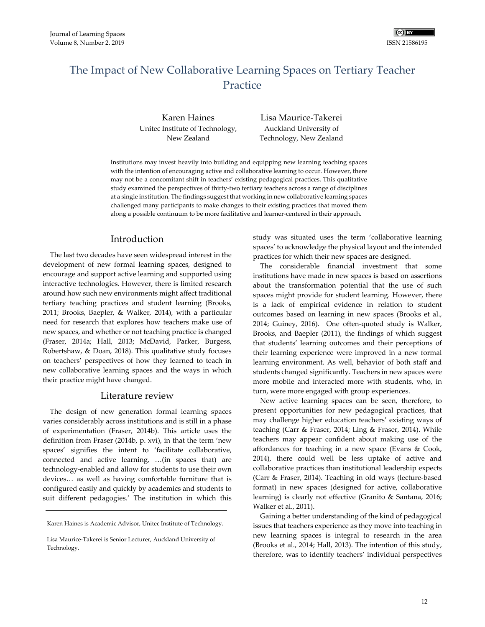# The Impact of New Collaborative Learning Spaces on Tertiary Teacher **Practice**

Karen Haines Unitec Institute of Technology, New Zealand

Lisa Maurice-Takerei Auckland University of Technology, New Zealand

Institutions may invest heavily into building and equipping new learning teaching spaces with the intention of encouraging active and collaborative learning to occur. However, there may not be a concomitant shift in teachers' existing pedagogical practices. This qualitative study examined the perspectives of thirty-two tertiary teachers across a range of disciplines at a single institution. The findings suggest that working in new collaborative learning spaces challenged many participants to make changes to their existing practices that moved them along a possible continuum to be more facilitative and learner-centered in their approach.

## Introduction

The last two decades have seen widespread interest in the development of new formal learning spaces, designed to encourage and support active learning and supported using interactive technologies. However, there is limited research around how such new environments might affect traditional tertiary teaching practices and student learning (Brooks, 2011; Brooks, Baepler, & Walker, 2014), with a particular need for research that explores how teachers make use of new spaces, and whether or not teaching practice is changed (Fraser, 2014a; Hall, 2013; McDavid, Parker, Burgess, Robertshaw, & Doan, 2018). This qualitative study focuses on teachers' perspectives of how they learned to teach in new collaborative learning spaces and the ways in which their practice might have changed.

### Literature review

The design of new generation formal learning spaces varies considerably across institutions and is still in a phase of experimentation (Fraser, 2014b). This article uses the definition from Fraser (2014b, p. xvi), in that the term 'new spaces' signifies the intent to 'facilitate collaborative, connected and active learning, …(in spaces that) are technology-enabled and allow for students to use their own devices… as well as having comfortable furniture that is configured easily and quickly by academics and students to suit different pedagogies.' The institution in which this

Karen Haines is Academic Advisor, Unitec Institute of Technology.

study was situated uses the term 'collaborative learning spaces' to acknowledge the physical layout and the intended practices for which their new spaces are designed.

The considerable financial investment that some institutions have made in new spaces is based on assertions about the transformation potential that the use of such spaces might provide for student learning. However, there is a lack of empirical evidence in relation to student outcomes based on learning in new spaces (Brooks et al., 2014; Guiney, 2016). One often-quoted study is Walker, Brooks, and Baepler (2011), the findings of which suggest that students' learning outcomes and their perceptions of their learning experience were improved in a new formal learning environment. As well, behavior of both staff and students changed significantly. Teachers in new spaces were more mobile and interacted more with students, who, in turn, were more engaged with group experiences.

New active learning spaces can be seen, therefore, to present opportunities for new pedagogical practices, that may challenge higher education teachers' existing ways of teaching (Carr & Fraser, 2014; Ling & Fraser, 2014). While teachers may appear confident about making use of the affordances for teaching in a new space (Evans & Cook, 2014), there could well be less uptake of active and collaborative practices than institutional leadership expects (Carr & Fraser, 2014). Teaching in old ways (lecture-based format) in new spaces (designed for active, collaborative learning) is clearly not effective (Granito & Santana, 2016; Walker et al., 2011).

Gaining a better understanding of the kind of pedagogical issues that teachers experience as they move into teaching in new learning spaces is integral to research in the area (Brooks et al., 2014; Hall, 2013). The intention of this study, therefore, was to identify teachers' individual perspectives

Lisa Maurice-Takerei is Senior Lecturer, Auckland University of Technology.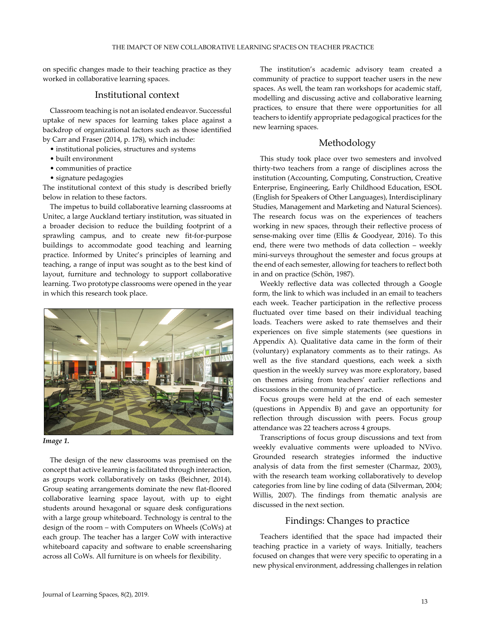on specific changes made to their teaching practice as they worked in collaborative learning spaces.

### Institutional context

Classroom teaching is not an isolated endeavor. Successful uptake of new spaces for learning takes place against a backdrop of organizational factors such as those identified by Carr and Fraser (2014, p. 178), which include:

- institutional policies, structures and systems
- built environment
- communities of practice
- signature pedagogies

The institutional context of this study is described briefly below in relation to these factors.

The impetus to build collaborative learning classrooms at Unitec, a large Auckland tertiary institution, was situated in a broader decision to reduce the building footprint of a sprawling campus, and to create new fit-for-purpose buildings to accommodate good teaching and learning practice. Informed by Unitec's principles of learning and teaching, a range of input was sought as to the best kind of layout, furniture and technology to support collaborative learning. Two prototype classrooms were opened in the year in which this research took place.





The design of the new classrooms was premised on the concept that active learning is facilitated through interaction, as groups work collaboratively on tasks (Beichner, 2014). Group seating arrangements dominate the new flat-floored collaborative learning space layout, with up to eight students around hexagonal or square desk configurations with a large group whiteboard. Technology is central to the design of the room – with Computers on Wheels (CoWs) at each group. The teacher has a larger CoW with interactive whiteboard capacity and software to enable screensharing across all CoWs. All furniture is on wheels for flexibility.

The institution's academic advisory team created a community of practice to support teacher users in the new spaces. As well, the team ran workshops for academic staff, modelling and discussing active and collaborative learning practices, to ensure that there were opportunities for all teachers to identify appropriate pedagogical practices for the new learning spaces.

## Methodology

This study took place over two semesters and involved thirty-two teachers from a range of disciplines across the institution (Accounting, Computing, Construction, Creative Enterprise, Engineering, Early Childhood Education, ESOL (English for Speakers of Other Languages), Interdisciplinary Studies, Management and Marketing and Natural Sciences). The research focus was on the experiences of teachers working in new spaces, through their reflective process of sense-making over time (Ellis & Goodyear, 2016). To this end, there were two methods of data collection – weekly mini-surveys throughout the semester and focus groups at the end of each semester, allowing for teachers to reflect both in and on practice (Schön, 1987).

Weekly reflective data was collected through a Google form, the link to which was included in an email to teachers each week. Teacher participation in the reflective process fluctuated over time based on their individual teaching loads. Teachers were asked to rate themselves and their experiences on five simple statements (see questions in Appendix A). Qualitative data came in the form of their (voluntary) explanatory comments as to their ratings. As well as the five standard questions, each week a sixth question in the weekly survey was more exploratory, based on themes arising from teachers' earlier reflections and discussions in the community of practice.

Focus groups were held at the end of each semester (questions in Appendix B) and gave an opportunity for reflection through discussion with peers. Focus group attendance was 22 teachers across 4 groups.

Transcriptions of focus group discussions and text from weekly evaluative comments were uploaded to NVivo. Grounded research strategies informed the inductive analysis of data from the first semester (Charmaz, 2003), with the research team working collaboratively to develop categories from line by line coding of data (Silverman, 2004; Willis, 2007). The findings from thematic analysis are discussed in the next section.

### Findings: Changes to practice

Teachers identified that the space had impacted their teaching practice in a variety of ways. Initially, teachers focused on changes that were very specific to operating in a new physical environment, addressing challenges in relation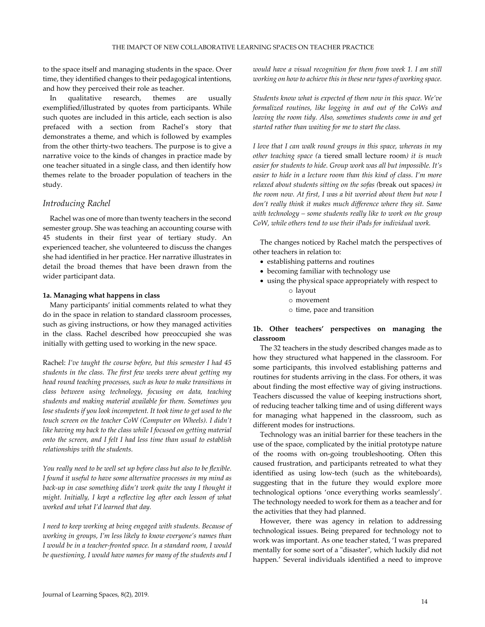to the space itself and managing students in the space. Over time, they identified changes to their pedagogical intentions, and how they perceived their role as teacher.

In qualitative research, themes are usually exemplified/illustrated by quotes from participants. While such quotes are included in this article, each section is also prefaced with a section from Rachel's story that demonstrates a theme, and which is followed by examples from the other thirty-two teachers. The purpose is to give a narrative voice to the kinds of changes in practice made by one teacher situated in a single class, and then identify how themes relate to the broader population of teachers in the study.

#### *Introducing Rachel*

Rachel was one of more than twenty teachers in the second semester group. She was teaching an accounting course with 45 students in their first year of tertiary study. An experienced teacher, she volunteered to discuss the changes she had identified in her practice. Her narrative illustrates in detail the broad themes that have been drawn from the wider participant data.

#### **1a. Managing what happens in class**

Many participants' initial comments related to what they do in the space in relation to standard classroom processes, such as giving instructions, or how they managed activities in the class. Rachel described how preoccupied she was initially with getting used to working in the new space.

Rachel: *I've taught the course before, but this semester I had 45 students in the class. The first few weeks were about getting my head round teaching processes, such as how to make transitions in class between using technology, focusing on data, teaching students and making material available for them. Sometimes you lose students if you look incompetent. It took time to get used to the touch screen on the teacher CoW (Computer on Wheels). I didn't like having my back to the class while I focused on getting material onto the screen, and I felt I had less time than usual to establish relationships with the students.*

*You really need to be well set up before class but also to be flexible. I found it useful to have some alternative processes in my mind as*  back-up in case something didn't work quite the way I thought it *might. Initially, I kept a reflective log after each lesson of what worked and what I'd learned that day.*

*I need to keep working at being engaged with students. Because of working in groups, I'm less likely to know everyone's names than I would be in a teacher-fronted space. In a standard room, I would be questioning, I would have names for many of the students and I* 

*would have a visual recognition for them from week 1. I am still working on how to achieve this in these new types of working space.* 

*Students know what is expected of them now in this space. We've formalized routines, like logging in and out of the CoWs and leaving the room tidy. Also, sometimes students come in and get started rather than waiting for me to start the class.*

*I love that I can walk round groups in this space, whereas in my other teaching space (*a tiered small lecture room*) it is much easier for students to hide. Group work was all but impossible. It's easier to hide in a lecture room than this kind of class. I'm more relaxed about students sitting on the sofas (*break out spaces*) in the room now. At first, I was a bit worried about them but now I don't really think it makes much difference where they sit. Same with technology – some students really like to work on the group CoW, while others tend to use their iPads for individual work.*

The changes noticed by Rachel match the perspectives of other teachers in relation to:

- establishing patterns and routines
- becoming familiar with technology use
- using the physical space appropriately with respect to o layout
	- o movement
	- o time, pace and transition

#### **1b. Other teachers' perspectives on managing the classroom**

The 32 teachers in the study described changes made as to how they structured what happened in the classroom. For some participants, this involved establishing patterns and routines for students arriving in the class. For others, it was about finding the most effective way of giving instructions. Teachers discussed the value of keeping instructions short, of reducing teacher talking time and of using different ways for managing what happened in the classroom, such as different modes for instructions.

Technology was an initial barrier for these teachers in the use of the space, complicated by the initial prototype nature of the rooms with on-going troubleshooting. Often this caused frustration, and participants retreated to what they identified as using low-tech (such as the whiteboards), suggesting that in the future they would explore more technological options 'once everything works seamlessly'. The technology needed to work for them as a teacher and for the activities that they had planned.

However, there was agency in relation to addressing technological issues. Being prepared for technology not to work was important. As one teacher stated, 'I was prepared mentally for some sort of a "disaster", which luckily did not happen.' Several individuals identified a need to improve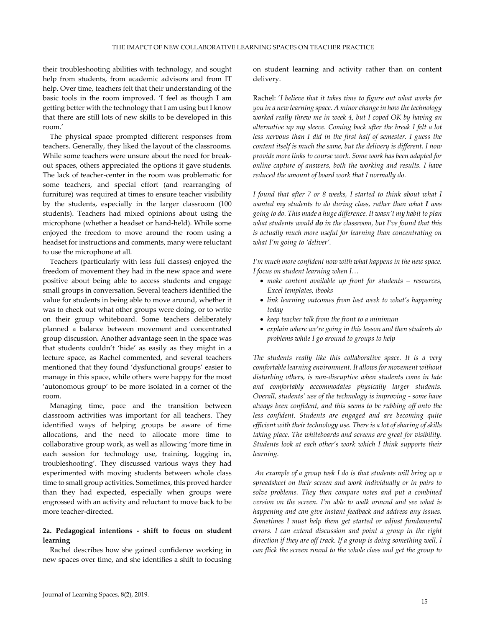their troubleshooting abilities with technology, and sought help from students, from academic advisors and from IT help. Over time, teachers felt that their understanding of the basic tools in the room improved. 'I feel as though I am getting better with the technology that I am using but I know that there are still lots of new skills to be developed in this room.'

The physical space prompted different responses from teachers. Generally, they liked the layout of the classrooms. While some teachers were unsure about the need for breakout spaces, others appreciated the options it gave students. The lack of teacher-center in the room was problematic for some teachers, and special effort (and rearranging of furniture) was required at times to ensure teacher visibility by the students, especially in the larger classroom (100 students). Teachers had mixed opinions about using the microphone (whether a headset or hand-held). While some enjoyed the freedom to move around the room using a headset for instructions and comments, many were reluctant to use the microphone at all.

Teachers (particularly with less full classes) enjoyed the freedom of movement they had in the new space and were positive about being able to access students and engage small groups in conversation. Several teachers identified the value for students in being able to move around, whether it was to check out what other groups were doing, or to write on their group whiteboard. Some teachers deliberately planned a balance between movement and concentrated group discussion. Another advantage seen in the space was that students couldn't 'hide' as easily as they might in a lecture space, as Rachel commented, and several teachers mentioned that they found 'dysfunctional groups' easier to manage in this space, while others were happy for the most 'autonomous group' to be more isolated in a corner of the room.

Managing time, pace and the transition between classroom activities was important for all teachers. They identified ways of helping groups be aware of time allocations, and the need to allocate more time to collaborative group work, as well as allowing 'more time in each session for technology use, training, logging in, troubleshooting'. They discussed various ways they had experimented with moving students between whole class time to small group activities. Sometimes, this proved harder than they had expected, especially when groups were engrossed with an activity and reluctant to move back to be more teacher-directed.

#### **2a. Pedagogical intentions - shift to focus on student learning**

Rachel describes how she gained confidence working in new spaces over time, and she identifies a shift to focusing on student learning and activity rather than on content delivery.

Rachel: '*I believe that it takes time to figure out what works for you in a new learning space. A minor change in how the technology worked really threw me in week 4, but I coped OK by having an alternative up my sleeve. Coming back after the break I felt a lot less nervous than I did in the first half of semester. I guess the content itself is much the same, but the delivery is different. I now provide more links to course work. Some work has been adapted for online capture of answers, both the working and results. I have reduced the amount of board work that I normally do.*

*I found that after 7 or 8 weeks, I started to think about what I wanted my students to do during class, rather than what I was going to do. This made a huge difference. It wasn't my habit to plan what students would do in the classroom, but I've found that this is actually much more useful for learning than concentrating on what I'm going to 'deliver'.* 

*I'm much more confident now with what happens in the new space. I focus on student learning when I…* 

- *make content available up front for students resources, Excel templates, ibooks*
- *link learning outcomes from last week to what's happening today*
- *keep teacher talk from the front to a minimum*
- *explain where we're going in this lesson and then students do problems while I go around to groups to help*

*The students really like this collaborative space. It is a very comfortable learning environment. It allows for movement without disturbing others, is non-disruptive when students come in late and comfortably accommodates physically larger students. Overall, students' use of the technology is improving - some have always been confident, and this seems to be rubbing off onto the less confident. Students are engaged and are becoming quite efficient with their technology use. There is a lot of sharing of skills taking place. The whiteboards and screens are great for visibility. Students look at each other's work which I think supports their learning.* 

*An example of a group task I do is that students will bring up a spreadsheet on their screen and work individually or in pairs to solve problems. They then compare notes and put a combined version on the screen. I'm able to walk around and see what is happening and can give instant feedback and address any issues. Sometimes I must help them get started or adjust fundamental errors. I can extend discussion and point a group in the right direction if they are off track. If a group is doing something well, I can flick the screen round to the whole class and get the group to*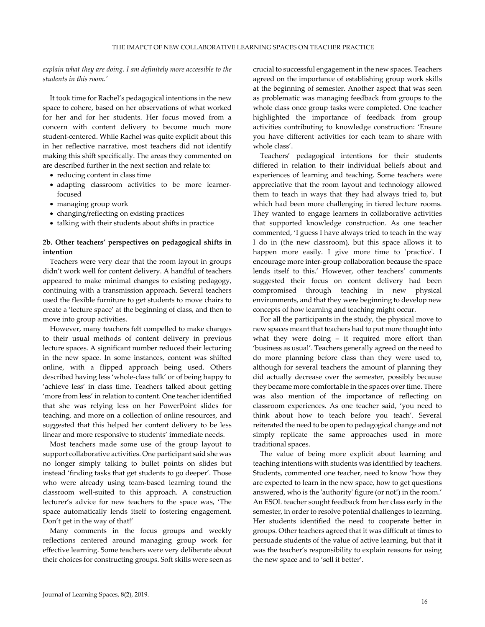*explain what they are doing. I am definitely more accessible to the students in this room.'*

It took time for Rachel's pedagogical intentions in the new space to cohere, based on her observations of what worked for her and for her students. Her focus moved from a concern with content delivery to become much more student-centered. While Rachel was quite explicit about this in her reflective narrative, most teachers did not identify making this shift specifically. The areas they commented on are described further in the next section and relate to:

- reducing content in class time
- adapting classroom activities to be more learnerfocused
- managing group work
- changing/reflecting on existing practices
- talking with their students about shifts in practice

#### **2b. Other teachers' perspectives on pedagogical shifts in intention**

Teachers were very clear that the room layout in groups didn't work well for content delivery. A handful of teachers appeared to make minimal changes to existing pedagogy, continuing with a transmission approach. Several teachers used the flexible furniture to get students to move chairs to create a 'lecture space' at the beginning of class, and then to move into group activities.

However, many teachers felt compelled to make changes to their usual methods of content delivery in previous lecture spaces. A significant number reduced their lecturing in the new space. In some instances, content was shifted online, with a flipped approach being used. Others described having less 'whole-class talk' or of being happy to 'achieve less' in class time. Teachers talked about getting 'more from less' in relation to content. One teacher identified that she was relying less on her PowerPoint slides for teaching, and more on a collection of online resources, and suggested that this helped her content delivery to be less linear and more responsive to students' immediate needs.

Most teachers made some use of the group layout to support collaborative activities. One participant said she was no longer simply talking to bullet points on slides but instead 'finding tasks that get students to go deeper'. Those who were already using team-based learning found the classroom well-suited to this approach. A construction lecturer's advice for new teachers to the space was, 'The space automatically lends itself to fostering engagement. Don't get in the way of that!'

Many comments in the focus groups and weekly reflections centered around managing group work for effective learning. Some teachers were very deliberate about their choices for constructing groups. Soft skills were seen as

crucial to successful engagement in the new spaces. Teachers agreed on the importance of establishing group work skills at the beginning of semester. Another aspect that was seen as problematic was managing feedback from groups to the whole class once group tasks were completed. One teacher highlighted the importance of feedback from group activities contributing to knowledge construction: 'Ensure you have different activities for each team to share with whole class'.

Teachers' pedagogical intentions for their students differed in relation to their individual beliefs about and experiences of learning and teaching. Some teachers were appreciative that the room layout and technology allowed them to teach in ways that they had always tried to, but which had been more challenging in tiered lecture rooms. They wanted to engage learners in collaborative activities that supported knowledge construction. As one teacher commented, 'I guess I have always tried to teach in the way I do in (the new classroom), but this space allows it to happen more easily. I give more time to 'practice'. I encourage more inter-group collaboration because the space lends itself to this.' However, other teachers' comments suggested their focus on content delivery had been compromised through teaching in new physical environments, and that they were beginning to develop new concepts of how learning and teaching might occur.

For all the participants in the study, the physical move to new spaces meant that teachers had to put more thought into what they were doing – it required more effort than 'business as usual'. Teachers generally agreed on the need to do more planning before class than they were used to, although for several teachers the amount of planning they did actually decrease over the semester, possibly because they became more comfortable in the spaces over time. There was also mention of the importance of reflecting on classroom experiences. As one teacher said, 'you need to think about how to teach before you teach'. Several reiterated the need to be open to pedagogical change and not simply replicate the same approaches used in more traditional spaces.

The value of being more explicit about learning and teaching intentions with students was identified by teachers. Students, commented one teacher, need to know 'how they are expected to learn in the new space, how to get questions answered, who is the 'authority' figure (or not!) in the room.' An ESOL teacher sought feedback from her class early in the semester, in order to resolve potential challenges to learning. Her students identified the need to cooperate better in groups. Other teachers agreed that it was difficult at times to persuade students of the value of active learning, but that it was the teacher's responsibility to explain reasons for using the new space and to 'sell it better'.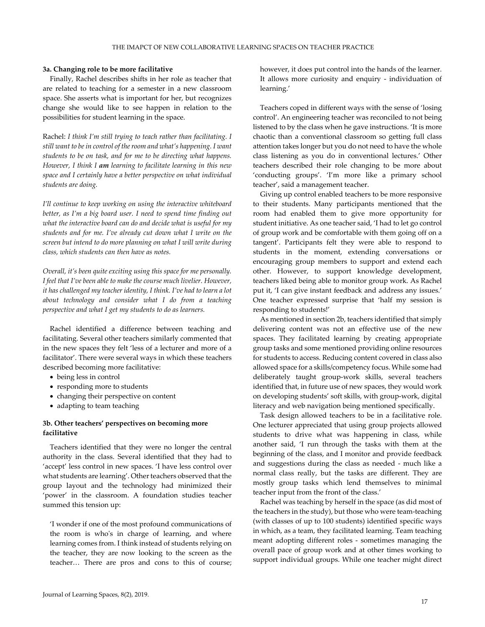#### **3a. Changing role to be more facilitative**

Finally, Rachel describes shifts in her role as teacher that are related to teaching for a semester in a new classroom space. She asserts what is important for her, but recognizes change she would like to see happen in relation to the possibilities for student learning in the space.

Rachel: *I think I'm still trying to teach rather than facilitating. I still want to be in control of the room and what's happening. I want students to be on task, and for me to be directing what happens. However, I think I am learning to facilitate learning in this new space and I certainly have a better perspective on what individual students are doing.*

*I'll continue to keep working on using the interactive whiteboard better, as I'm a big board user. I need to spend time finding out what the interactive board can do and decide what is useful for my students and for me. I've already cut down what I write on the screen but intend to do more planning on what I will write during class, which students can then have as notes.*

*Overall, it's been quite exciting using this space for me personally. I feel that I've been able to make the course much livelier. However, it has challenged my teacher identity, I think. I've had to learn a lot about technology and consider what I do from a teaching perspective and what I get my students to do as learners.*

Rachel identified a difference between teaching and facilitating. Several other teachers similarly commented that in the new spaces they felt 'less of a lecturer and more of a facilitator'. There were several ways in which these teachers described becoming more facilitative:

- being less in control
- responding more to students
- changing their perspective on content
- adapting to team teaching

#### **3b. Other teachers' perspectives on becoming more facilitative**

Teachers identified that they were no longer the central authority in the class. Several identified that they had to 'accept' less control in new spaces. 'I have less control over what students are learning'. Other teachers observed that the group layout and the technology had minimized their 'power' in the classroom. A foundation studies teacher summed this tension up:

'I wonder if one of the most profound communications of the room is who's in charge of learning, and where learning comes from. I think instead of students relying on the teacher, they are now looking to the screen as the teacher… There are pros and cons to this of course;

however, it does put control into the hands of the learner. It allows more curiosity and enquiry - individuation of learning.'

Teachers coped in different ways with the sense of 'losing control'. An engineering teacher was reconciled to not being listened to by the class when he gave instructions. 'It is more chaotic than a conventional classroom so getting full class attention takes longer but you do not need to have the whole class listening as you do in conventional lectures.' Other teachers described their role changing to be more about 'conducting groups'. 'I'm more like a primary school teacher', said a management teacher.

Giving up control enabled teachers to be more responsive to their students. Many participants mentioned that the room had enabled them to give more opportunity for student initiative. As one teacher said, 'I had to let go control of group work and be comfortable with them going off on a tangent'. Participants felt they were able to respond to students in the moment, extending conversations or encouraging group members to support and extend each other. However, to support knowledge development, teachers liked being able to monitor group work. As Rachel put it, 'I can give instant feedback and address any issues.' One teacher expressed surprise that 'half my session is responding to students!'

As mentioned in section 2b, teachers identified that simply delivering content was not an effective use of the new spaces. They facilitated learning by creating appropriate group tasks and some mentioned providing online resources for students to access. Reducing content covered in class also allowed space for a skills/competency focus. While some had deliberately taught group-work skills, several teachers identified that, in future use of new spaces, they would work on developing students' soft skills, with group-work, digital literacy and web navigation being mentioned specifically.

Task design allowed teachers to be in a facilitative role. One lecturer appreciated that using group projects allowed students to drive what was happening in class, while another said, 'I run through the tasks with them at the beginning of the class, and I monitor and provide feedback and suggestions during the class as needed - much like a normal class really, but the tasks are different. They are mostly group tasks which lend themselves to minimal teacher input from the front of the class.'

Rachel was teaching by herself in the space (as did most of the teachers in the study), but those who were team-teaching (with classes of up to 100 students) identified specific ways in which, as a team, they facilitated learning. Team teaching meant adopting different roles - sometimes managing the overall pace of group work and at other times working to support individual groups. While one teacher might direct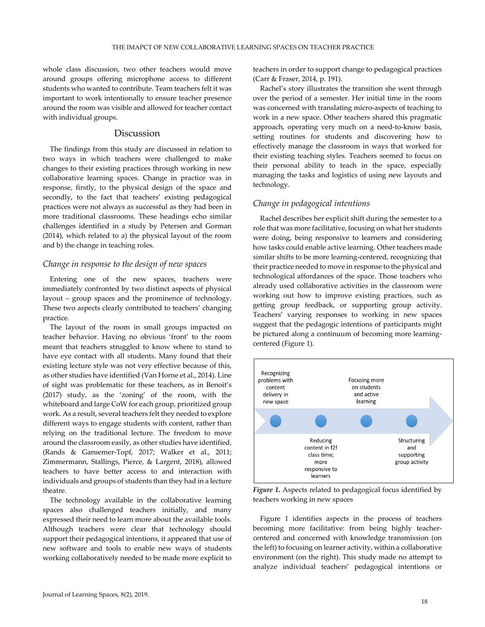whole class discussion, two other teachers would move around groups offering microphone access to different students who wanted to contribute. Team teachers felt it was important to work intentionally to ensure teacher presence around the room was visible and allowed for teacher contact with individual groups.

### Discussion

The findings from this study are discussed in relation to two ways in which teachers were challenged to make changes to their existing practices through working in new collaborative learning spaces. Change in practice was in response, firstly, to the physical design of the space and secondly, to the fact that teachers' existing pedagogical practices were not always as successful as they had been in more traditional classrooms. These headings echo similar challenges identified in a study by Petersen and Gorman (2014), which related to a) the physical layout of the room and b) the change in teaching roles.

#### *Change in response to the design of new spaces*

Entering one of the new spaces, teachers were immediately confronted by two distinct aspects of physical layout – group spaces and the prominence of technology. These two aspects clearly contributed to teachers' changing practice.

The layout of the room in small groups impacted on teacher behavior. Having no obvious 'front' to the room meant that teachers struggled to know where to stand to have eye contact with all students. Many found that their existing lecture style was not very effective because of this, as other studies have identified (Van Horne et al., 2014). Line of sight was problematic for these teachers, as in Benoit's (2017) study, as the 'zoning' of the room, with the whiteboard and large CoW for each group, prioritized group work. As a result, several teachers felt they needed to explore different ways to engage students with content, rather than relying on the traditional lecture. The freedom to move around the classroom easily, as other studies have identified, (Rands & Gansemer-Topf, 2017; Walker et al., 2011; Zimmermann, Stallings, Pierce, & Largent, 2018), allowed teachers to have better access to and interaction with individuals and groups of students than they had in a lecture theatre.

The technology available in the collaborative learning spaces also challenged teachers initially, and many expressed their need to learn more about the available tools. Although teachers were clear that technology should support their pedagogical intentions, it appeared that use of new software and tools to enable new ways of students working collaboratively needed to be made more explicit to

teachers in order to support change to pedagogical practices (Carr & Fraser, 2014, p. 191).

Rachel's story illustrates the transition she went through over the period of a semester. Her initial time in the room was concerned with translating micro-aspects of teaching to work in a new space. Other teachers shared this pragmatic approach, operating very much on a need-to-know basis, setting routines for students and discovering how to effectively manage the classroom in ways that worked for their existing teaching styles. Teachers seemed to focus on their personal ability to teach in the space, especially managing the tasks and logistics of using new layouts and technology.

### *Change in pedagogical intentions*

Rachel describes her explicit shift during the semester to a role that was more facilitative, focusing on what her students were doing, being responsive to learners and considering how tasks could enable active learning. Other teachers made similar shifts to be more learning-centered, recognizing that their practice needed to move in response to the physical and technological affordances of the space. Those teachers who already used collaborative activities in the classroom were working out how to improve existing practices, such as getting group feedback, or supporting group activity. Teachers' varying responses to working in new spaces suggest that the pedagogic intentions of participants might be pictured along a continuum of becoming more learningcentered (Figure 1).



*Figure 1***.** Aspects related to pedagogical focus identified by teachers working in new spaces

Figure 1 identifies aspects in the process of teachers becoming more facilitative: from being highly teachercentered and concerned with knowledge transmission (on the left) to focusing on learner activity, within a collaborative environment (on the right). This study made no attempt to analyze individual teachers' pedagogical intentions or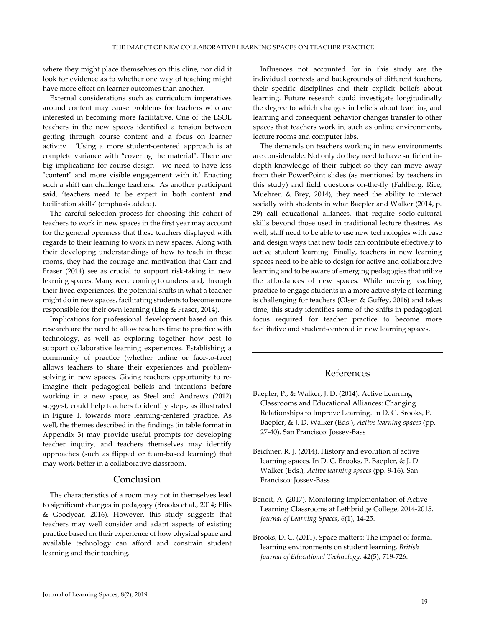where they might place themselves on this cline, nor did it look for evidence as to whether one way of teaching might have more effect on learner outcomes than another.

External considerations such as curriculum imperatives around content may cause problems for teachers who are interested in becoming more facilitative. One of the ESOL teachers in the new spaces identified a tension between getting through course content and a focus on learner activity. 'Using a more student-centered approach is at complete variance with "covering the material". There are big implications for course design - we need to have less "content" and more visible engagement with it.' Enacting such a shift can challenge teachers. As another participant said, 'teachers need to be expert in both content **and** facilitation skills' (emphasis added).

The careful selection process for choosing this cohort of teachers to work in new spaces in the first year may account for the general openness that these teachers displayed with regards to their learning to work in new spaces. Along with their developing understandings of how to teach in these rooms, they had the courage and motivation that Carr and Fraser (2014) see as crucial to support risk-taking in new learning spaces. Many were coming to understand, through their lived experiences, the potential shifts in what a teacher might do in new spaces, facilitating students to become more responsible for their own learning (Ling & Fraser, 2014).

Implications for professional development based on this research are the need to allow teachers time to practice with technology, as well as exploring together how best to support collaborative learning experiences. Establishing a community of practice (whether online or face-to-face) allows teachers to share their experiences and problemsolving in new spaces. Giving teachers opportunity to reimagine their pedagogical beliefs and intentions **before** working in a new space, as Steel and Andrews (2012) suggest, could help teachers to identify steps, as illustrated in Figure 1, towards more learning-centered practice. As well, the themes described in the findings (in table format in Appendix 3) may provide useful prompts for developing teacher inquiry, and teachers themselves may identify approaches (such as flipped or team-based learning) that may work better in a collaborative classroom.

#### Conclusion

The characteristics of a room may not in themselves lead to significant changes in pedagogy (Brooks et al., 2014; Ellis & Goodyear, 2016). However, this study suggests that teachers may well consider and adapt aspects of existing practice based on their experience of how physical space and available technology can afford and constrain student learning and their teaching.

Influences not accounted for in this study are the individual contexts and backgrounds of different teachers, their specific disciplines and their explicit beliefs about learning. Future research could investigate longitudinally the degree to which changes in beliefs about teaching and learning and consequent behavior changes transfer to other spaces that teachers work in, such as online environments, lecture rooms and computer labs.

The demands on teachers working in new environments are considerable. Not only do they need to have sufficient indepth knowledge of their subject so they can move away from their PowerPoint slides (as mentioned by teachers in this study) and field questions on-the-fly (Fahlberg, Rice, Muehrer, & Brey, 2014), they need the ability to interact socially with students in what Baepler and Walker (2014, p. 29) call educational alliances, that require socio-cultural skills beyond those used in traditional lecture theatres. As well, staff need to be able to use new technologies with ease and design ways that new tools can contribute effectively to active student learning. Finally, teachers in new learning spaces need to be able to design for active and collaborative learning and to be aware of emerging pedagogies that utilize the affordances of new spaces. While moving teaching practice to engage students in a more active style of learning is challenging for teachers (Olsen & Guffey, 2016) and takes time, this study identifies some of the shifts in pedagogical focus required for teacher practice to become more facilitative and student-centered in new learning spaces.

#### References

- Baepler, P., & Walker, J. D. (2014). Active Learning Classrooms and Educational Alliances: Changing Relationships to Improve Learning. In D. C. Brooks, P. Baepler, & J. D. Walker (Eds.), *Active learning spaces* (pp. 27-40). San Francisco: Jossey-Bass
- Beichner, R. J. (2014). History and evolution of active learning spaces. In D. C. Brooks, P. Baepler, & J. D. Walker (Eds.), *Active learning spaces* (pp. 9-16). San Francisco: Jossey-Bass
- Benoit, A. (2017). Monitoring Implementation of Active Learning Classrooms at Lethbridge College, 2014-2015. *Journal of Learning Spaces*, *6*(1), 14-25.
- Brooks, D. C. (2011). Space matters: The impact of formal learning environments on student learning. *British Journal of Educational Technology, 42*(5), 719-726.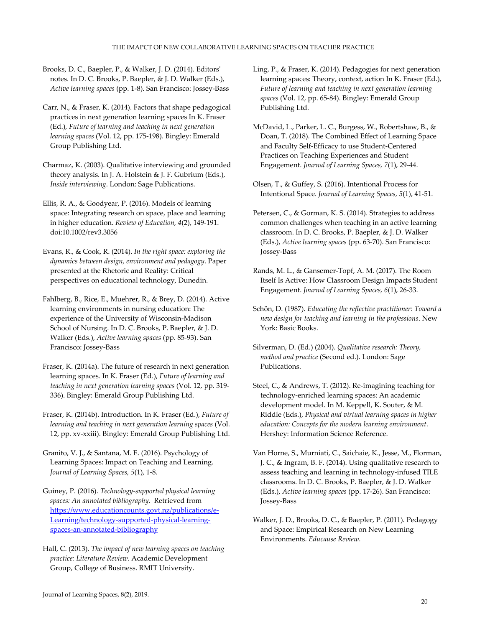Brooks, D. C., Baepler, P., & Walker, J. D. (2014). Editors' notes. In D. C. Brooks, P. Baepler, & J. D. Walker (Eds.), *Active learning spaces* (pp. 1-8). San Francisco: Jossey-Bass

Carr, N., & Fraser, K. (2014). Factors that shape pedagogical practices in next generation learning spaces In K. Fraser (Ed.), *Future of learning and teaching in next generation learning spaces* (Vol. 12, pp. 175-198). Bingley: Emerald Group Publishing Ltd.

Charmaz, K. (2003). Qualitative interviewing and grounded theory analysis. In J. A. Holstein & J. F. Gubrium (Eds.), *Inside interviewing*. London: Sage Publications.

Ellis, R. A., & Goodyear, P. (2016). Models of learning space: Integrating research on space, place and learning in higher education. *Review of Education, 4*(2), 149-191. doi:10.1002/rev3.3056

Evans, R., & Cook, R. (2014). *In the right space: exploring the dynamics between design, environment and pedagogy*. Paper presented at the Rhetoric and Reality: Critical perspectives on educational technology, Dunedin.

Fahlberg, B., Rice, E., Muehrer, R., & Brey, D. (2014). Active learning environments in nursing education: The experience of the University of Wisconsin-Madison School of Nursing. In D. C. Brooks, P. Baepler, & J. D. Walker (Eds.), *Active learning spaces* (pp. 85-93). San Francisco: Jossey-Bass

Fraser, K. (2014a). The future of research in next generation learning spaces. In K. Fraser (Ed.), *Future of learning and teaching in next generation learning spaces* (Vol. 12, pp. 319- 336). Bingley: Emerald Group Publishing Ltd.

Fraser, K. (2014b). Introduction. In K. Fraser (Ed.), *Future of learning and teaching in next generation learning spaces* (Vol. 12, pp. xv-xxiii). Bingley: Emerald Group Publishing Ltd.

Granito, V. J., & Santana, M. E. (2016). Psychology of Learning Spaces: Impact on Teaching and Learning. *Journal of Learning Spaces, 5*(1), 1-8.

Guiney, P. (2016). *Technology-supported physical learning spaces: An annotated bibliography*. Retrieved from [https://www.educationcounts.govt.nz/publications/e-](https://www.educationcounts.govt.nz/publications/e-Learning/technology-supported-physical-learning-spaces-an-annotated-bibliography)[Learning/technology-supported-physical-learning](https://www.educationcounts.govt.nz/publications/e-Learning/technology-supported-physical-learning-spaces-an-annotated-bibliography)[spaces-an-annotated-bibliography](https://www.educationcounts.govt.nz/publications/e-Learning/technology-supported-physical-learning-spaces-an-annotated-bibliography) 

Hall, C. (2013). *The impact of new learning spaces on teaching practice: Literature Review*. Academic Development Group, College of Business. RMIT University.

Ling, P., & Fraser, K. (2014). Pedagogies for next generation learning spaces: Theory, context, action In K. Fraser (Ed.), *Future of learning and teaching in next generation learning spaces* (Vol. 12, pp. 65-84). Bingley: Emerald Group Publishing Ltd.

McDavid, L., Parker, L. C., Burgess, W., Robertshaw, B., & Doan, T. (2018). The Combined Effect of Learning Space and Faculty Self-Efficacy to use Student-Centered Practices on Teaching Experiences and Student Engagement. *Journal of Learning Spaces, 7*(1), 29-44.

Olsen, T., & Guffey, S. (2016). Intentional Process for Intentional Space. *Journal of Learning Spaces, 5*(1), 41-51.

Petersen, C., & Gorman, K. S. (2014). Strategies to address common challenges when teaching in an active learning classroom. In D. C. Brooks, P. Baepler, & J. D. Walker (Eds.), *Active learning spaces* (pp. 63-70). San Francisco: Jossey-Bass

- Rands, M. L., & Gansemer-Topf, A. M. (2017). The Room Itself Is Active: How Classroom Design Impacts Student Engagement. *Journal of Learning Spaces, 6*(1), 26-33.
- Schön, D. (1987). *Educating the reflective practitioner: Toward a new design for teaching and learning in the professions*. New York: Basic Books.

Steel, C., & Andrews, T. (2012). Re-imagining teaching for technology-enriched learning spaces: An academic development model. In M. Keppell, K. Souter, & M. Riddle (Eds.), *Physical and virtual learning spaces in higher education: Concepts for the modern learning environment*. Hershey: Information Science Reference.

Van Horne, S., Murniati, C., Saichaie, K., Jesse, M., Florman, J. C., & Ingram, B. F. (2014). Using qualitative research to assess teaching and learning in technology-infused TILE classrooms. In D. C. Brooks, P. Baepler, & J. D. Walker (Eds.), *Active learning spaces* (pp. 17-26). San Francisco: Jossey-Bass

Walker, J. D., Brooks, D. C., & Baepler, P. (2011). Pedagogy and Space: Empirical Research on New Learning Environments. *Educause Review*.

Silverman, D. (Ed.) (2004). *Qualitative research: Theory, method and practice* (Second ed.). London: Sage Publications.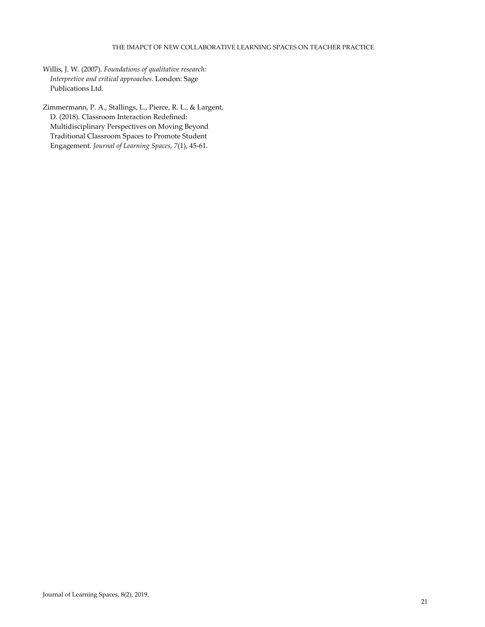#### THE IMAPCT OF NEW COLLABORATIVE LEARNING SPACES ON TEACHER PRACTICE

Willis, J. W. (2007). *Foundations of qualitative research: Interpretive and critical approaches*. London: Sage Publications Ltd.

Zimmermann, P. A., Stallings, L., Pierce, R. L., & Largent, D. (2018). Classroom Interaction Redefined: Multidisciplinary Perspectives on Moving Beyond Traditional Classroom Spaces to Promote Student Engagement. *Journal of Learning Spaces, 7*(1), 45-61.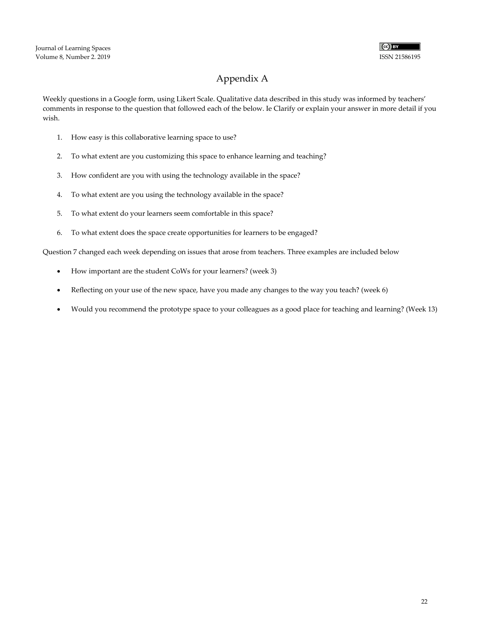

## Appendix A

Weekly questions in a Google form, using Likert Scale. Qualitative data described in this study was informed by teachers' comments in response to the question that followed each of the below. Ie Clarify or explain your answer in more detail if you wish.

- 1. How easy is this collaborative learning space to use?
- 2. To what extent are you customizing this space to enhance learning and teaching?
- 3. How confident are you with using the technology available in the space?
- 4. To what extent are you using the technology available in the space?
- 5. To what extent do your learners seem comfortable in this space?
- 6. To what extent does the space create opportunities for learners to be engaged?

Question 7 changed each week depending on issues that arose from teachers. Three examples are included below

- How important are the student CoWs for your learners? (week 3)
- Reflecting on your use of the new space, have you made any changes to the way you teach? (week 6)
- Would you recommend the prototype space to your colleagues as a good place for teaching and learning? (Week 13)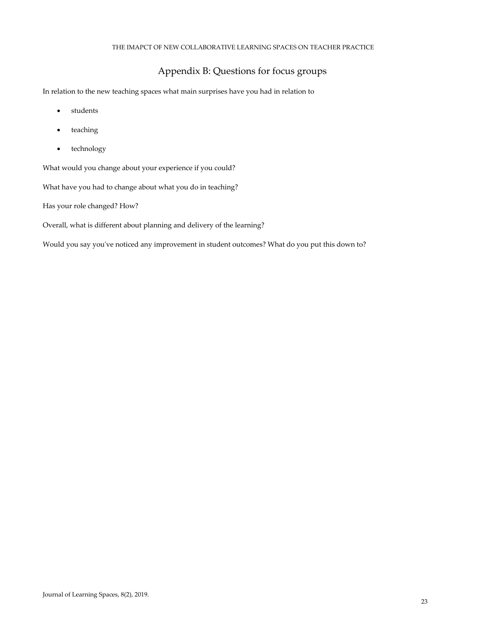#### THE IMAPCT OF NEW COLLABORATIVE LEARNING SPACES ON TEACHER PRACTICE

## Appendix B: Questions for focus groups

In relation to the new teaching spaces what main surprises have you had in relation to

- students
- teaching
- technology

What would you change about your experience if you could?

What have you had to change about what you do in teaching?

Has your role changed? How?

Overall, what is different about planning and delivery of the learning?

Would you say you've noticed any improvement in student outcomes? What do you put this down to?